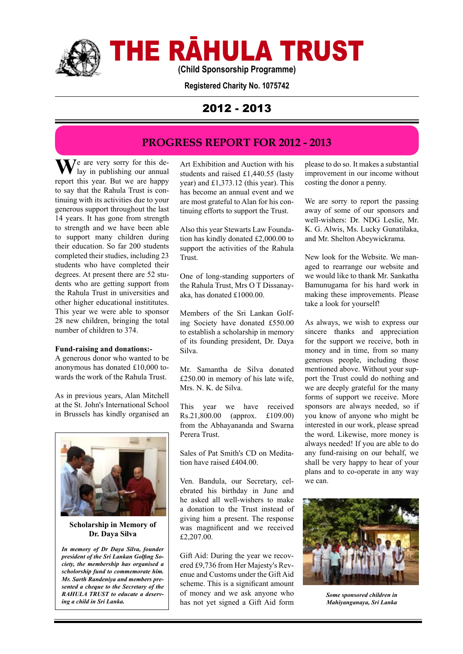

THE RĀHULA TRUST

**(Child Sponsorship Programme)**

**Registered Charity No. 1075742**

# 2012 - 2013

# **PROGRESS REPORT FOR 2012 - 2013**

**W**e are very sorry for this delay in publishing our annual report this year. But we are happy to say that the Rahula Trust is continuing with its activities due to your generous support throughout the last 14 years. It has gone from strength to strength and we have been able to support many children during their education. So far 200 students completed their studies, including 23 students who have completed their degrees. At present there are 52 students who are getting support from the Rahula Trust in universities and other higher educational instititutes. This year we were able to sponsor 28 new children, bringing the total number of children to 374.

### **Fund-raising and donations:-**

A generous donor who wanted to be anonymous has donated £10,000 towards the work of the Rahula Trust.

As in previous years, Alan Mitchell at the St. John's International School in Brussels has kindly organised an



**Scholarship in Memory of Dr. Daya Silva**

*In memory of Dr Daya Silva, founder president of the Sri Lankan Golfing Society, the membership has organised a scholorship fund to commemorate him. Mr. Sarth Randeniya and members presented a cheque to the Secretary of the RAHULA TRUST to educate a deserving a child in Sri Lanka.* 

Art Exhibition and Auction with his students and raised £1,440.55 (lasty year) and £1,373.12 (this year). This has become an annual event and we are most grateful to Alan for his continuing efforts to support the Trust.

Also this year Stewarts Law Foundation has kindly donated £2,000.00 to support the activities of the Rahula Trust.

One of long-standing supporters of the Rahula Trust, Mrs O T Dissanayaka, has donated £1000.00.

Members of the Sri Lankan Golfing Society have donated £550.00 to establish a scholarship in memory of its founding president, Dr. Daya Silva.

Mr. Samantha de Silva donated £250.00 in memory of his late wife, Mrs. N. K. de Silva.

This year we have received Rs.21,800.00 (approx. £109.00) from the Abhayananda and Swarna Perera Trust.

Sales of Pat Smith's CD on Meditation have raised £404.00.

Ven. Bandula, our Secretary, celebrated his birthday in June and he asked all well-wishers to make a donation to the Trust instead of giving him a present. The response was magnificent and we received £2,207.00.

Gift Aid: During the year we recovered £9,736 from Her Majesty's Revenue and Customs under the Gift Aid scheme. This is a significant amount of money and we ask anyone who has not yet signed a Gift Aid form

please to do so. It makes a substantial improvement in our income without costing the donor a penny.

We are sorry to report the passing away of some of our sponsors and well-wishers: Dr. NDG Leslie, Mr. K. G. Alwis, Ms. Lucky Gunatilaka, and Mr. Shelton Abeywickrama.

New look for the Website. We managed to rearrange our website and we would like to thank Mr. Sankatha Bamunugama for his hard work in making these improvements. Please take a look for yourself!

As always, we wish to express our sincere thanks and appreciation for the support we receive, both in money and in time, from so many generous people, including those mentioned above. Without your support the Trust could do nothing and we are deeply grateful for the many forms of support we receive. More sponsors are always needed, so if you know of anyone who might be interested in our work, please spread the word. Likewise, more money is always needed! If you are able to do any fund-raising on our behalf, we shall be very happy to hear of your plans and to co-operate in any way we can.



*Some sponsored children in Mahiyanganaya, Sri Lanka*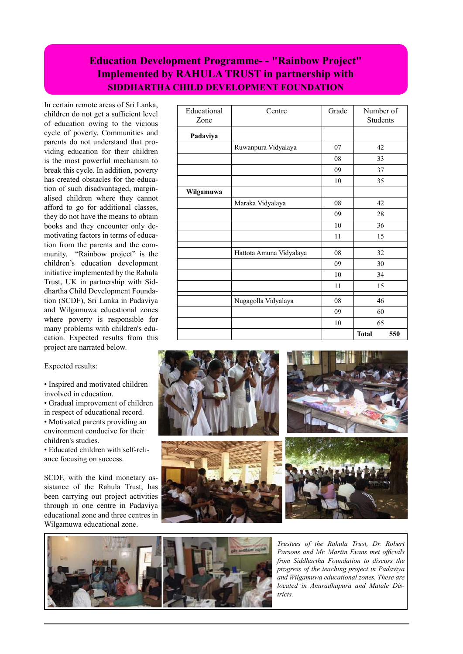# **Education Development Programme- - "Rainbow Project" Implemented by RAHULA TRUST in partnership with SIDDHARTHA CHILD DEVELOPMENT FOUNDATION**

In certain remote areas of Sri Lanka, children do not get a sufficient level of education owing to the vicious cycle of poverty. Communities and parents do not understand that providing education for their children is the most powerful mechanism to break this cycle. In addition, poverty has created obstacles for the education of such disadvantaged, marginalised children where they cannot afford to go for additional classes, they do not have the means to obtain books and they encounter only demotivating factors in terms of education from the parents and the community. "Rainbow project" is the children's education development initiative implemented by the Rahula Trust, UK in partnership with Siddhartha Child Development Foundation (SCDF), Sri Lanka in Padaviya and Wilgamuwa educational zones where poverty is responsible for many problems with children's education. Expected results from this project are narrated below.

### Expected results:

• Inspired and motivated children involved in education.

• Gradual improvement of children in respect of educational record. • Motivated parents providing an environment conducive for their

children's studies. • Educated children with self-reli-

ance focusing on success.

SCDF, with the kind monetary assistance of the Rahula Trust, has been carrying out project activities through in one centre in Padaviya educational zone and three centres in Wilgamuwa educational zone.

| Educational<br>Zone | Centre                  | Grade | Number of<br><b>Students</b> |
|---------------------|-------------------------|-------|------------------------------|
|                     |                         |       |                              |
| Padaviya            |                         |       |                              |
|                     | Ruwanpura Vidyalaya     | 07    | 42                           |
|                     |                         | 08    | 33                           |
|                     |                         | 09    | 37                           |
|                     |                         | 10    | 35                           |
| Wilgamuwa           |                         |       |                              |
|                     | Maraka Vidyalaya        | 08    | 42                           |
|                     |                         | 09    | 28                           |
|                     |                         | 10    | 36                           |
|                     |                         | 11    | 15                           |
|                     |                         |       |                              |
|                     | Hattota Amuna Vidyalaya | 08    | 32                           |
|                     |                         | 09    | 30                           |
|                     |                         | 10    | 34                           |
|                     |                         | 11    | 15                           |
|                     | Nugagolla Vidyalaya     | 08    | 46                           |
|                     |                         | 09    | 60                           |
|                     |                         | 10    | 65                           |
|                     |                         |       | <b>Total</b><br>550          |





*Trustees of the Rahula Trust, Dr. Robert Parsons and Mr. Martin Evans met officials from Siddhartha Foundation to discuss the progress of the teaching project in Padaviya and Wilgamuwa educational zones. These are located in Anuradhapura and Matale Districts.*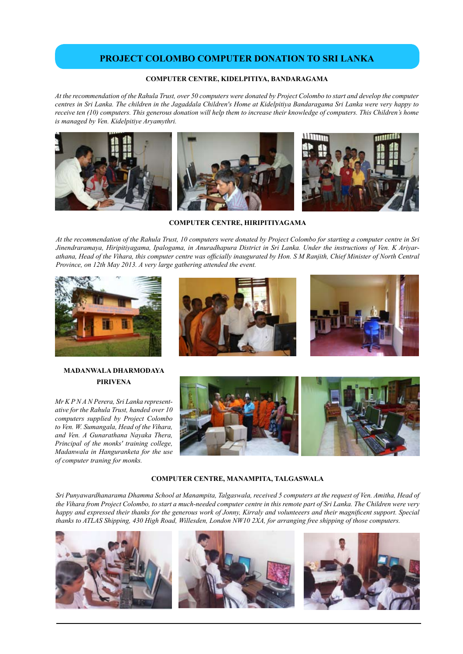## **PROJECT COLOMBO COMPUTER DONATION TO SRI LANKA**

### **COMPUTER CENTRE, KIDELPITIYA, BANDARAGAMA**

*At the recommendation of the Rahula Trust, over 50 computers were donated by Project Colombo to start and develop the computer centres in Sri Lanka. The children in the Jagaddala Children's Home at Kidelpitiya Bandaragama Sri Lanka were very happy to receive ten (10) computers. This generous donation will help them to increase their knowledge of computers. This Children's home is managed by Ven. Kidelpitiye Aryamythri.* 



**COMPUTER CENTRE, HIRIPITIYAGAMA**

*At the recommendation of the Rahula Trust, 10 computers were donated by Project Colombo for starting a computer centre in Sri Jinendraramaya, Hiripitiyagama, Ipalogama, in Anuradhapura District in Sri Lanka. Under the instructions of Ven. K Ariyarathana, Head of the Vihara, this computer centre was officially inaugurated by Hon. S M Ranjith, Chief Minister of North Central Province, on 12th May 2013. A very large gathering attended the event.*



## **MADANWALA DHARMODAYA PIRIVENA**

*Mr K P N A N Perera, Sri Lanka representative for the Rahula Trust, handed over 10 computers supplied by Project Colombo to Ven. W. Sumangala, Head of the Vihara, and Ven. A Gunarathana Nayaka Thera, Principal of the monks' training college, Madanwala in Hanguranketa for the use of computer traning for monks.*







#### **COMPUTER CENTRE, MANAMPITA, TALGASWALA**

*Sri Punyawardhanarama Dhamma School at Manampita, Talgaswala, received 5 computers at the request of Ven. Amitha, Head of the Vihara from Project Colombo, to start a much-needed computer centre in this remote part of Sri Lanka. The Children were very happy and expressed their thanks for the generous work of Jonny, Kirraly and volunteeers and their magnificent support. Special thanks to ATLAS Shipping, 430 High Road, Willesden, London NW10 2XA, for arranging free shipping of those computers.*